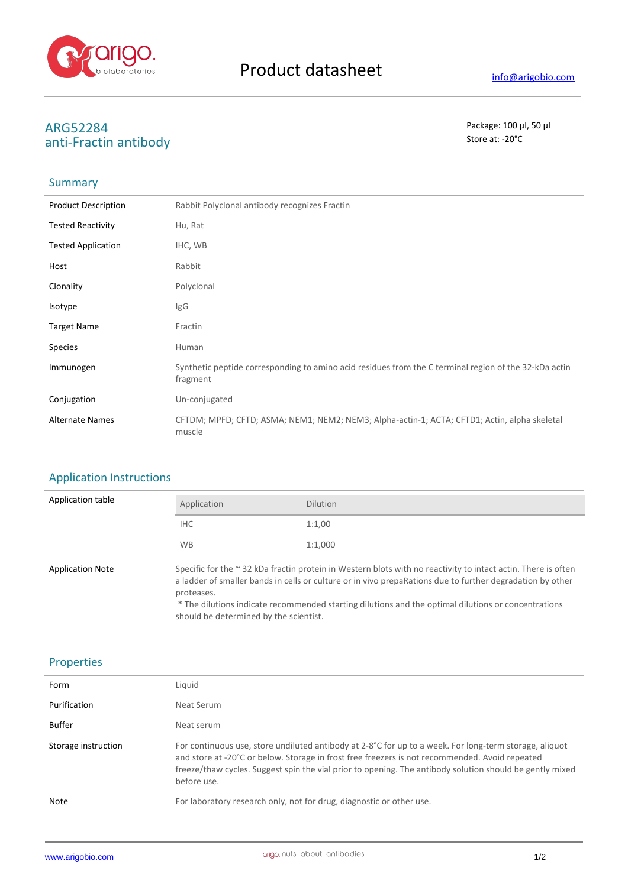

# **ARG52284** Package: 100 μl, 50 μl<br>
anti-Eractin antibody<br>
anti-Eractin antibody anti-Fractin antibody

## Summary

| <b>Product Description</b> | Rabbit Polyclonal antibody recognizes Fractin                                                                     |
|----------------------------|-------------------------------------------------------------------------------------------------------------------|
| <b>Tested Reactivity</b>   | Hu, Rat                                                                                                           |
| <b>Tested Application</b>  | IHC, WB                                                                                                           |
| Host                       | Rabbit                                                                                                            |
| Clonality                  | Polyclonal                                                                                                        |
| Isotype                    | IgG                                                                                                               |
| <b>Target Name</b>         | Fractin                                                                                                           |
| <b>Species</b>             | Human                                                                                                             |
| Immunogen                  | Synthetic peptide corresponding to amino acid residues from the C terminal region of the 32-kDa actin<br>fragment |
| Conjugation                | Un-conjugated                                                                                                     |
| <b>Alternate Names</b>     | CFTDM; MPFD; CFTD; ASMA; NEM1; NEM2; NEM3; Alpha-actin-1; ACTA; CFTD1; Actin, alpha skeletal<br>muscle            |

### Application Instructions

| Application table       | Application                                          | <b>Dilution</b>                                                                                                                                                                                                                                                                                                                        |
|-------------------------|------------------------------------------------------|----------------------------------------------------------------------------------------------------------------------------------------------------------------------------------------------------------------------------------------------------------------------------------------------------------------------------------------|
|                         | IHC                                                  | 1:1,00                                                                                                                                                                                                                                                                                                                                 |
|                         | <b>WB</b>                                            | 1:1,000                                                                                                                                                                                                                                                                                                                                |
| <b>Application Note</b> | proteases.<br>should be determined by the scientist. | Specific for the $\sim$ 32 kDa fractin protein in Western blots with no reactivity to intact actin. There is often<br>a ladder of smaller bands in cells or culture or in vivo prepaRations due to further degradation by other<br>* The dilutions indicate recommended starting dilutions and the optimal dilutions or concentrations |

### Properties

| Form                | Liquid                                                                                                                                                                                                                                                                                                                              |
|---------------------|-------------------------------------------------------------------------------------------------------------------------------------------------------------------------------------------------------------------------------------------------------------------------------------------------------------------------------------|
| Purification        | Neat Serum                                                                                                                                                                                                                                                                                                                          |
| Buffer              | Neat serum                                                                                                                                                                                                                                                                                                                          |
| Storage instruction | For continuous use, store undiluted antibody at 2-8°C for up to a week. For long-term storage, aliquot<br>and store at -20°C or below. Storage in frost free freezers is not recommended. Avoid repeated<br>freeze/thaw cycles. Suggest spin the vial prior to opening. The antibody solution should be gently mixed<br>before use. |
| Note                | For laboratory research only, not for drug, diagnostic or other use.                                                                                                                                                                                                                                                                |